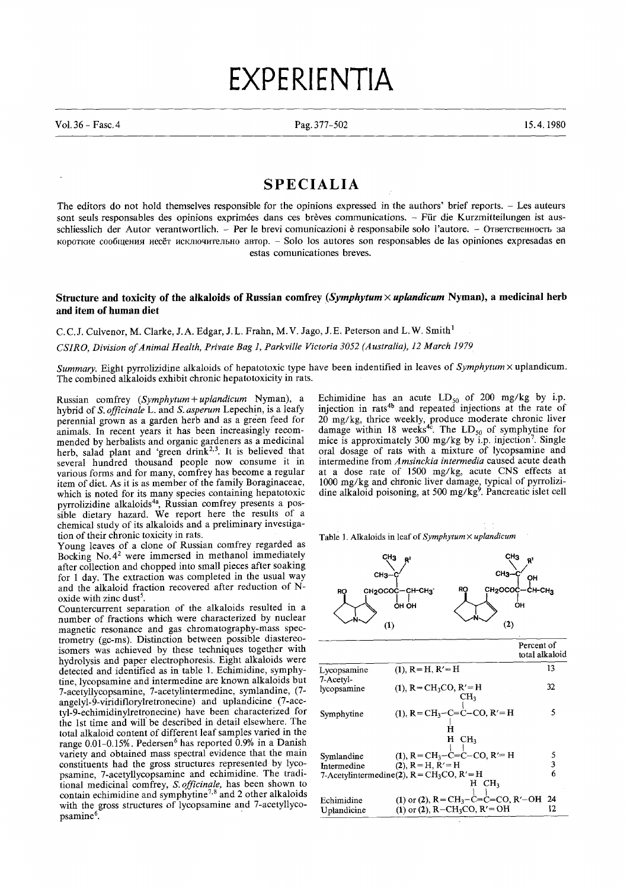# **EXPERIENTIA**

Vol. 36 - Fasc. 4 2012 15.4. 1980

## **SPECIALIA**

The editors do not hold themselves responsible for the opinions expressed in the authors' brief reports. - Les auteurs sont seuls responsables des opinions exprimées dans ces brèves communications. - Für die Kurzmitteilungen ist ausschliesslich der Autor verantwortlich. – Per le brevi comunicazioni è responsabile solo l'autore. – OTBeTCTBeHHOCTb 3a короткие сообщения несёт исключительно автор. - Solo los autores son responsables de las opiniones expresadas en estas comunicationes breves.

#### **Structure and toxicity of the alkaloids of Russian comfrey** *(Symphytum • uplandicum* **Nyman), a medicinal herb and item of human diet**

## C. C. J. Culvenor, M. Clarke, J. A. Edgar, J. L. Frahn, M. V. Jago, J. E. Peterson and L. W. Smith<sup>1</sup>

#### *CSIRO, Division of Animal Health, Private Bag 1, Parkville Victoria 3052 (Australia), 12 March 1979*

*Summary.* Eight pyrrolizidine alkaloids of hepatotoxic type have been indentified in leaves of *Symphytum •* uplandicum. The combined alkaloids exhibit chronic hepatotoxicity in rats.

Russian comfrey *(Symphytum+uplandicum* Nyman), a hybrid of *S. officinale* L. and *S. asperum* Lepechin, is a leafy perennial grown as a garden herb and as a green feed for animals. In recent years it has been increasingly recommended by herbalists and organic gardeners as a medicinal herb, salad plant and 'green drink<sup>2,3</sup>. It is believed that several hundred thousand people now consume it in various forms and for many, comfrey has become a regular item of diet. As it is as member of the family Boraginaceae, which is noted for its many species containing hepatotoxic pyrrolizidine alkaloids<sup>4a</sup>, Russian comfrey presents a possible dietary hazard. We report here the results of a chemical study of its alkaloids and a preliminary investigation of their chronic toxicity in rats.

Young leaves of a clone of Russian comfrey regarded as Bocking No.42 were immersed in methanol immediately after collection and chopped into small pieces after soaking for 1 day. The extraction was completed in the usual way and the alkaloid fraction recovered after reduction of Noxide with zinc dust<sup>5</sup>.

Countercurrent separation of the alkaloids resulted in a number of fractions which were characterized by nuclear magnetic resonance and gas chromatography-mass spectrometry (gc-ms). Distinction between possible diastereoisomers was achieved by these techniques together with hydrolysis and paper electrophoresis. Eight alkaloids were detected and identified as in table 1. Echimidine, symphytine, lycopsamine and intermedine are known alkaloids but 7-acetyllycopsamine, 7-acetylintermedine, symlandine, (7 angelyl-9-viridiflorylretronecine) and uplandicine (7-acetyl-9-echimidinylretronecine) have been characterized for the 1st time and will be described in detail elsewhere. The total alkaloid content of different leaf samples varied in the range 0.01-0.15%. Pedersen<sup>6</sup> has reported 0.9% in a Danish variety and obtained mass spectral evidence that the main constituents had the gross structures represented by lycopsamine, 7-acetyllycopsamine and echimidine. The traditional medicinal comfrey, *S. officinale,* has been shown to contain echimidine and symphytine<sup>7,8</sup> and 2 other alkaloids with the gross structures of lycopsamine and 7-acetyllycopsamine<sup>6</sup>.

Echimidine has an acute  $LD_{50}$  of 200 mg/kg by i.p. injection in rats<sup>4b</sup> and repeated injections at the rate of 20 mg/kg, thrice weekly, produce moderate chronic liver damage within 18 weeks<sup>\*</sup>. The  $LD_{50}$  of symphytine for mice is approximately 300 mg/kg by i.p. injection<sup>7</sup>. Single oral dosage of rats with a mixture of lycopsamine and intermedine from *Amsinckia intermedia* caused acute death at a dose rate of 1500 mg/kg, acute CNS effects at 1000 mg/kg and chronic liver damage, typical of pyrrolizidine alkaloid poisoning, at 500 mg/kg<sup>9</sup>. Pancreatic islet cell



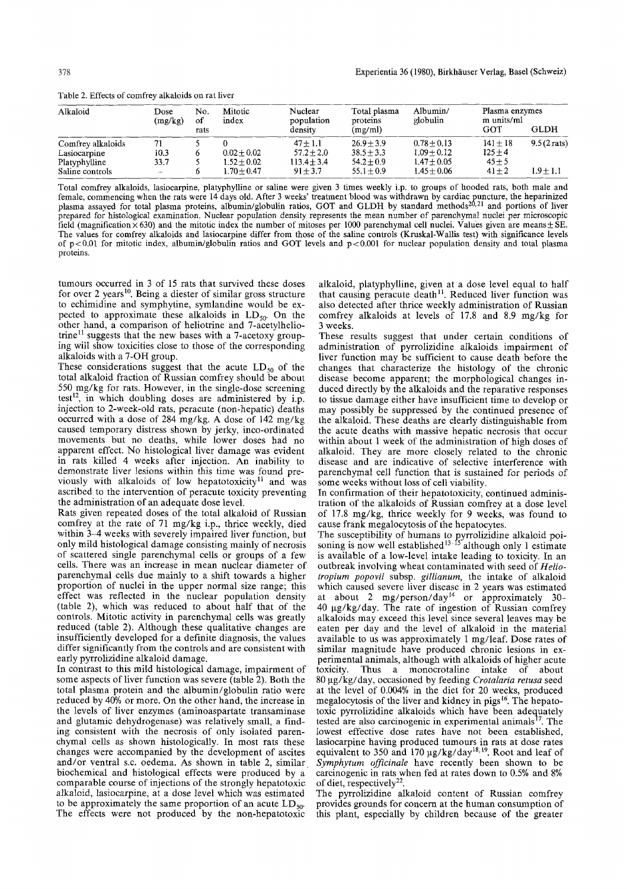Table 2. Effects of comfrey alkaloids on rat liver

| Alkaloid          | Dose<br>(mg/kg)          | No.<br>of<br>rats | Mitotic<br>index | Nuclear<br>population<br>density | Total plasma<br>proteins<br>(mg/ml) | Albumin/<br>globulin | Plasma enzymes    |                       |
|-------------------|--------------------------|-------------------|------------------|----------------------------------|-------------------------------------|----------------------|-------------------|-----------------------|
|                   |                          |                   |                  |                                  |                                     |                      | m units/ml<br>GOT | GLDH                  |
| Comfrey alkaloids |                          |                   |                  | $47 + 1.1$                       | $26.9 + 3.9$                        | $0.78 + 0.13$        | $141 \pm 18$      | $9.5(2 \text{ rats})$ |
| Lasiocarpine      | 10.3                     |                   | $0.02 + 0.02$    | $57.2 + 2.0$                     | $38.5 + 3.3$                        | $1.09 + 0.12$        | $125 + 4$         |                       |
| Platyphylline     | 33.7                     |                   | $1.52 + 0.02$    | $113.4 \pm 3.4$                  | $54.2 \pm 0.9$                      | $1.47 \pm 0.05$      | $45 + 5$          |                       |
| Saline controls   | $\overline{\phantom{a}}$ |                   | $1.70 + 0.47$    | $91 + 3.7$                       | $55.1 \pm 0.9$                      | $1.45 + 0.06$        | $41 + 2$          | 1.9 + 1.1             |

Total comfrey alkaloids, lasiocarpine, platyphylline or saline were given 3 times weekly i.p. to groups of hooded rats, both male and female, commencing when the rats were 14 days old. After 3 weeks' treatment blood was withdrawn by cardiac puncture, the heparinized plasma assayed for total plasma proteins, albumin/globulin ratios, GOT and GLDH by standard methods<sup>20,21</sup> and portions of liver prepared for histological examination. Nuclear population density represents the mean number of parenchymal nuclei per microscopic field (magnification  $\times$  630) and the mitotic index the number of mitoses per 1000 parenchymal cell nuclei. Values given are means $\pm$  SE. The values for comfrey alkaloids and lasiocarpine differ from those of the saline controls (Kruskal-Wallis test) with significance levels of  $p < 0.01$  for mitotic index, albumin/globulin ratios and GOT levels and  $p < 0.001$  for nuclear population density and total plasma proteins.

tumours occurred in 3 of 15 rats that survived these doses for over 2 years<sup>10</sup>. Being a diester of similar gross structure to echimidine and symphytine, symlandine would be expected to approximate these alkaloids in  $LD_{50}$ . On the other hand, a comparison of heliotrine and 7-acetylheliotrine<sup>11</sup> suggests that the new bases with a 7-acetoxy grouping will show toxicities close to those of the corresponding alkaloids with a 7-OH group.

These considerations suggest that the acute  $LD_{50}$  of the total alkaloid fraction of Russian comfrey should be about 550 mg/kg for rats. However, in the single-dose screening test<sup>12</sup>, in which doubling doses are administered by i.p. injection to 2-week-old rats, peracute (non-hepatic) deaths occurred with a dose of 284 mg/kg. A dose of 142 mg/kg caused temporary distress shown by jerky, inco-ordinated movements but no deaths, while lower doses had no apparent effect. No histological liver damage was evident in rats killed 4 weeks after injection. An inability to demonstrate liver lesions within this time was found previously with alkaloids of low hepatotoxicity<sup>11</sup> and was ascribed to the intervention of peracute toxicity preventing the administration of an adequate dose level.

Rats given repeated doses of the total alkaloid of Russian eomfrey at the rate of 71 mg/kg i.p., thrice weekly, died within 3-4 weeks with severely impaired liver function, but only mild histological damage consisting mainly of necrosis of scattered single parenchymal cells or groups of a few cells. There was an increase in mean nuclear diameter of parenchymal ceils due mainly to a shift towards a higher proportion of nuclei in the upper normal size range; this effect was reflected in the nuclear population density (table 2), which was reduced to about half that of the controls. Mitotic activity in parenchymal cells was greatly reduced (table 2). Although these qualitative changes are insufficiently developed for a definite diagnosis, the values differ significantly from the controls and are consistent with early pyrrolizidine alkaloid damage.

In contrast to this mild histological damage, impairment of some aspects of liver function was severe (table 2). Both the total plasma protein and the albumin/globulin ratio were reduced by 40% or more. On the other hand, the increase in the levels of liver enzymes (aminoaspartate transaminase and glutamic dehydrogenase) was relatively small, a finding consistent with the necrosis of only isolated parenchymal cells as shown histologically. In most rats these changes were accompanied by the development of ascites and/or ventral s.c. oedema. As shown in table 2, similar biochemical and histological effects were produced by a comparable course of injections of the Strongly hepatotoxic alkaloid, lasiocarpine, at a dose level which was estimated to be approximately the same proportion of an acute  $LD_{50}$ . The effects were not produced by the non-hepatotoxic

alkaloid, platyphylline, given at a dose level equal to half that causing peracute death<sup>11</sup>. Reduced liver function was also detected after thrice weekly administration of Russian comfrey alkaloids at levels of 17.8 and 8.9 mg/kg for 3 weeks.

These results suggest that under certain conditions of administration of pyrrolizidine alkaloids impairment of liver function may be sufficient to cause death before the changes that characterize the histology of the chronic disease become apparent; the morphological changes induced directly by the alkaloids and the reparative responses to tissue damage either have insufficient time to develop or may possibly be suppressed by the continued presence of the alkaloid. These deaths are clearly distinguishable from the acute deaths with massive hepatic necrosis that occur within about 1 week of the administration of high doses of alkaloid. They are more closely related to the chronic disease and are indicative of selective interference with parenchymal cell function that is sustained for periods of some weeks without loss of cell viability.

In confirmation of their hepatotoxicity, continued administration of the alkaloids of Russian comfrey at a dose level of 17.8 mg/kg, thrice weekly for 9 weeks, was found to cause frank megalocytosis of the hepatocytes.

The susceptibility of humans to pyrrolizidine alkaloid poisoning is now well established <sup>13-15</sup> although only 1 estimate is available of a low-level intake leading to toxicity. In an outbreak involving wheat contaminated with seed of *Heliotropium popovii* subsp, *gillianum,* the intake of alkaloid which caused severe liver disease in 2 years was estimated at about 2  $mg/person/day<sup>14</sup>$  or approximately 30-40  $\mu$ g/kg/day. The rate of ingestion of Russian comfrey alkaloids may exceed this level since several leaves may be eaten per day and the level of alkaloid in the material available to us was approximately 1 mg/leaf. Dose rates of similar magnitude have produced chronic lesions in experimental animals, although with alkaloids of higher acute toxicity. Thus a monocrotaline intake of about 80 gg/kg/day, occasioned by feeding *Crotalaria retusa* seed at the level of 0.004% in the diet for 20 weeks, produced megalocytosis of the liver and kidney in pigs 16. The hepatotoxic pyrrolizidine alkaloids which have been adequately tested are also carcinogenic in experimental animals '7. The lowest effective dose rates have not been established, lasiocarpine having produced tumours in rats at dose rates equivalent to 350 and 170 µg/kg/day<sup>18,19</sup>. Root and leaf of *Symphytum offieinale* have recently been shown to be carcinogenic in rats when fed at rates down to 0.5% and 8% of diet, respectively<sup>22</sup>

The pyrrolizidine alkaloid content of Russian comfrey provides grounds for concern at the human consumption of this plant, especially by children because of the greater